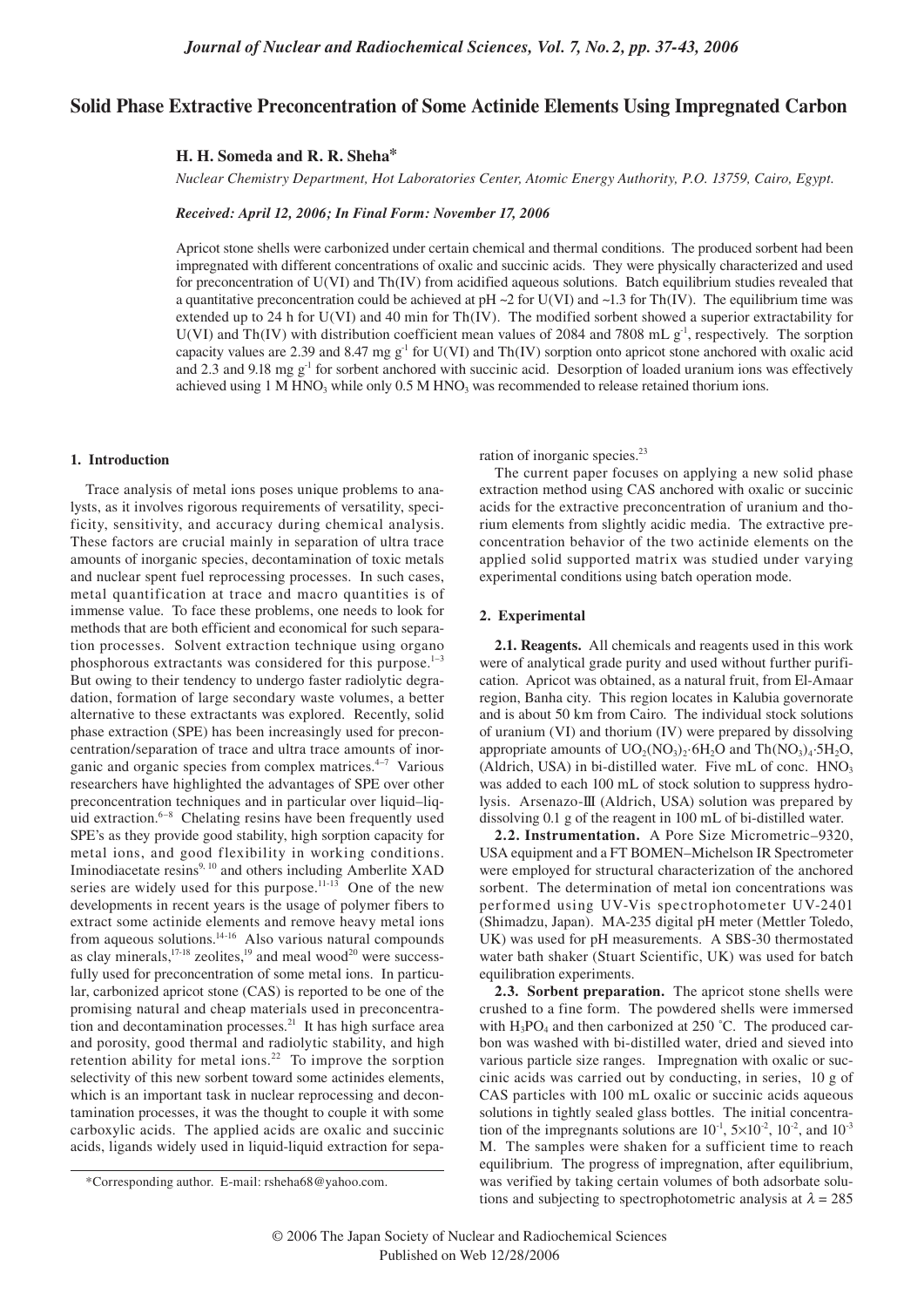# **Solid Phase Extractive Preconcentration of Some Actinide Elements Using Impregnated Carbon**

### **H. H. Someda and R. R. Sheha\***

*Nuclear Chemistry Department, Hot Laboratories Center, Atomic Energy Authority, P.O. 13759, Cairo, Egypt.*

*Received: April 12, 2006; In Final Form: November 17, 2006*

Apricot stone shells were carbonized under certain chemical and thermal conditions. The produced sorbent had been impregnated with different concentrations of oxalic and succinic acids. They were physically characterized and used for preconcentration of U(VI) and Th(IV) from acidified aqueous solutions. Batch equilibrium studies revealed that a quantitative preconcentration could be achieved at pH  $\sim$ 2 for U(VI) and  $\sim$ 1.3 for Th(IV). The equilibrium time was extended up to 24 h for U(VI) and 40 min for Th(IV). The modified sorbent showed a superior extractability for U(VI) and Th(IV) with distribution coefficient mean values of 2084 and 7808 mL  $g<sup>-1</sup>$ , respectively. The sorption capacity values are 2.39 and 8.47 mg  $g^{-1}$  for U(VI) and Th(IV) sorption onto apricot stone anchored with oxalic acid and 2.3 and 9.18 mg  $g<sup>-1</sup>$  for sorbent anchored with succinic acid. Desorption of loaded uranium ions was effectively achieved using 1 M HNO<sub>3</sub> while only 0.5 M HNO<sub>3</sub> was recommended to release retained thorium ions.

### **1. Introduction**

Trace analysis of metal ions poses unique problems to analysts, as it involves rigorous requirements of versatility, specificity, sensitivity, and accuracy during chemical analysis. These factors are crucial mainly in separation of ultra trace amounts of inorganic species, decontamination of toxic metals and nuclear spent fuel reprocessing processes. In such cases, metal quantification at trace and macro quantities is of immense value. To face these problems, one needs to look for methods that are both efficient and economical for such separation processes. Solvent extraction technique using organo phosphorous extractants was considered for this purpose. $1-3$ But owing to their tendency to undergo faster radiolytic degradation, formation of large secondary waste volumes, a better alternative to these extractants was explored. Recently, solid phase extraction (SPE) has been increasingly used for preconcentration/separation of trace and ultra trace amounts of inorganic and organic species from complex matrices.<sup>4–7</sup> Various researchers have highlighted the advantages of SPE over other preconcentration techniques and in particular over liquid–liquid extraction. $6-8$  Chelating resins have been frequently used SPE's as they provide good stability, high sorption capacity for metal ions, and good flexibility in working conditions. Iminodiacetate resins<sup>9, 10</sup> and others including Amberlite XAD series are widely used for this purpose.<sup>11-13</sup> One of the new developments in recent years is the usage of polymer fibers to extract some actinide elements and remove heavy metal ions from aqueous solutions.14-16 Also various natural compounds as clay minerals, $17-18$  zeolites, $19$  and meal wood<sup>20</sup> were successfully used for preconcentration of some metal ions. In particular, carbonized apricot stone (CAS) is reported to be one of the promising natural and cheap materials used in preconcentration and decontamination processes.<sup>21</sup> It has high surface area and porosity, good thermal and radiolytic stability, and high retention ability for metal ions.<sup>22</sup> To improve the sorption selectivity of this new sorbent toward some actinides elements, which is an important task in nuclear reprocessing and decontamination processes, it was the thought to couple it with some carboxylic acids. The applied acids are oxalic and succinic acids, ligands widely used in liquid-liquid extraction for separation of inorganic species.<sup>23</sup>

The current paper focuses on applying a new solid phase extraction method using CAS anchored with oxalic or succinic acids for the extractive preconcentration of uranium and thorium elements from slightly acidic media. The extractive preconcentration behavior of the two actinide elements on the applied solid supported matrix was studied under varying experimental conditions using batch operation mode.

### **2. Experimental**

**2.1. Reagents.** All chemicals and reagents used in this work were of analytical grade purity and used without further purification. Apricot was obtained, as a natural fruit, from El-Amaar region, Banha city. This region locates in Kalubia governorate and is about 50 km from Cairo. The individual stock solutions of uranium (VI) and thorium (IV) were prepared by dissolving appropriate amounts of  $UO_2(NO_3)$ .  $6H_2O$  and  $Th(NO_3)_4.5H_2O$ , (Aldrich, USA) in bi-distilled water. Five  $mL$  of conc.  $HNO<sub>3</sub>$ was added to each 100 mL of stock solution to suppress hydrolysis. Arsenazo-III (Aldrich, USA) solution was prepared by dissolving 0.1 g of the reagent in 100 mL of bi-distilled water.

**2.2. Instrumentation.** A Pore Size Micrometric–9320, USA equipment and a FT BOMEN–Michelson IR Spectrometer were employed for structural characterization of the anchored sorbent. The determination of metal ion concentrations was performed using UV-Vis spectrophotometer UV-2401 (Shimadzu, Japan). MA-235 digital pH meter (Mettler Toledo, UK) was used for pH measurements. A SBS-30 thermostated water bath shaker (Stuart Scientific, UK) was used for batch equilibration experiments.

**2.3. Sorbent preparation.** The apricot stone shells were crushed to a fine form. The powdered shells were immersed with  $H_3PO_4$  and then carbonized at 250 °C. The produced carbon was washed with bi-distilled water, dried and sieved into various particle size ranges. Impregnation with oxalic or succinic acids was carried out by conducting, in series, 10 g of CAS particles with 100 mL oxalic or succinic acids aqueous solutions in tightly sealed glass bottles. The initial concentration of the impregnants solutions are  $10^{-1}$ ,  $5\times10^{-2}$ ,  $10^{-2}$ , and  $10^{-3}$ M. The samples were shaken for a sufficient time to reach equilibrium. The progress of impregnation, after equilibrium, was verified by taking certain volumes of both adsorbate solutions and subjecting to spectrophotometric analysis at  $\lambda = 285$ 

<sup>\*</sup>Corresponding author. E-mail: rsheha68@yahoo.com.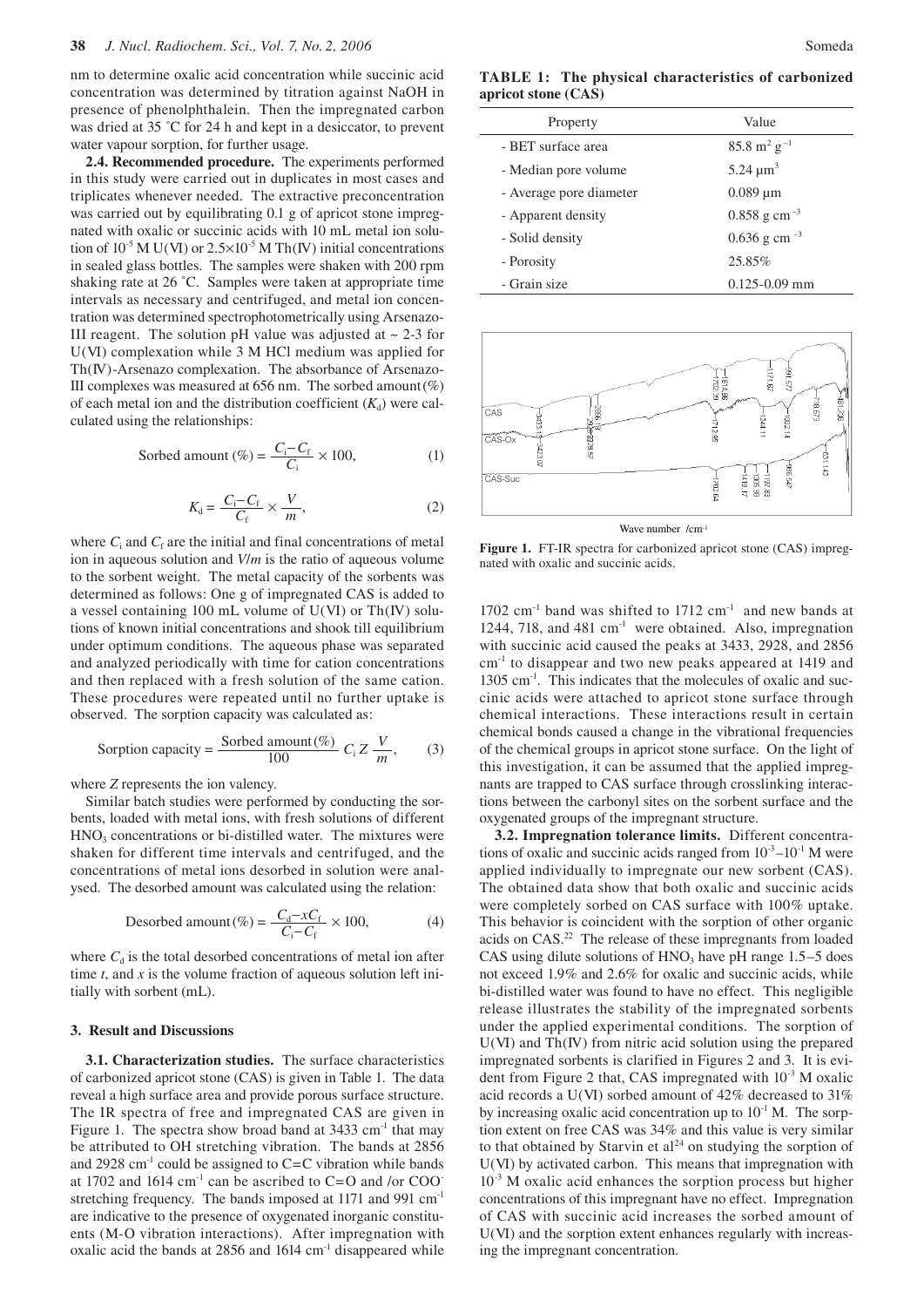nm to determine oxalic acid concentration while succinic acid concentration was determined by titration against NaOH in presence of phenolphthalein. Then the impregnated carbon was dried at 35 °C for 24 h and kept in a desiccator, to prevent water vapour sorption, for further usage.

**2.4. Recommended procedure.** The experiments performed in this study were carried out in duplicates in most cases and triplicates whenever needed. The extractive preconcentration was carried out by equilibrating 0.1 g of apricot stone impregnated with oxalic or succinic acids with 10 mL metal ion solution of  $10^{-5}$  M U(VI) or  $2.5 \times 10^{-5}$  M Th(IV) initial concentrations in sealed glass bottles. The samples were shaken with 200 rpm shaking rate at 26 °C. Samples were taken at appropriate time intervals as necessary and centrifuged, and metal ion concentration was determined spectrophotometrically using Arsenazo-III reagent. The solution pH value was adjusted at  $\sim$  2-3 for U(VI) complexation while 3 M HCl medium was applied for Th(IV)-Arsenazo complexation. The absorbance of Arsenazo-III complexes was measured at  $656$  nm. The sorbed amount  $(\%)$ of each metal ion and the distribution coefficient  $(K_d)$  were calculated using the relationships:

Sorbed amount (
$$
\%
$$
) =  $\frac{C_i - C_f}{C_i} \times 100$ , (1)

$$
K_{\rm d} = \frac{C_{\rm i} - C_{\rm f}}{C_{\rm f}} \times \frac{V}{m},\tag{2}
$$

where  $C_i$  and  $C_f$  are the initial and final concentrations of metal ion in aqueous solution and *V*/*m* is the ratio of aqueous volume to the sorbent weight. The metal capacity of the sorbents was determined as follows: One g of impregnated CAS is added to a vessel containing 100 mL volume of U(VI) or Th(IV) solutions of known initial concentrations and shook till equilibrium under optimum conditions. The aqueous phase was separated and analyzed periodically with time for cation concentrations and then replaced with a fresh solution of the same cation. These procedures were repeated until no further uptake is observed. The sorption capacity was calculated as:

Sorption capacity = 
$$
\frac{\text{Sorbed amount}(\%)}{100} C_i Z \frac{V}{m}
$$
, (3)

where *Z* represents the ion valency.

Similar batch studies were performed by conducting the sorbents, loaded with metal ions, with fresh solutions of different HNO<sub>3</sub> concentrations or bi-distilled water. The mixtures were shaken for different time intervals and centrifuged, and the concentrations of metal ions desorbed in solution were analysed. The desorbed amount was calculated using the relation:

Desorbed amount (
$$
\%
$$
) =  $\frac{C_d - xC_f}{C_i - C_f} \times 100,$  (4)

where  $C_d$  is the total desorbed concentrations of metal ion after time *t*, and *x* is the volume fraction of aqueous solution left initially with sorbent (mL).

#### **3. Result and Discussions**

**3.1. Characterization studies.** The surface characteristics of carbonized apricot stone (CAS) is given in Table 1. The data reveal a high surface area and provide porous surface structure. The IR spectra of free and impregnated CAS are given in Figure 1. The spectra show broad band at  $3433 \text{ cm}^{-1}$  that may be attributed to OH stretching vibration. The bands at 2856 and 2928 cm<sup>-1</sup> could be assigned to  $C=C$  vibration while bands at 1702 and 1614  $\text{cm}^{-1}$  can be ascribed to C=O and /or COO stretching frequency. The bands imposed at 1171 and 991 cm<sup>-1</sup> are indicative to the presence of oxygenated inorganic constituents (M-O vibration interactions). After impregnation with oxalic acid the bands at  $2856$  and  $1614 \text{ cm}^{-1}$  disappeared while

**TABLE 1: The physical characteristics of carbonized apricot stone (CAS)**

 $\overline{\phantom{a}}$ 

| Property                | Value                             |
|-------------------------|-----------------------------------|
| - BET surface area      | $85.8 \text{ m}^2 \text{ g}^{-1}$ |
| - Median pore volume    | 5.24 $\mu$ m <sup>3</sup>         |
| - Average pore diameter | $0.089 \mu m$                     |
| - Apparent density      | $0.858$ g cm <sup>-3</sup>        |
| - Solid density         | $0.636$ g cm <sup>-3</sup>        |
| - Porosity              | 25.85%                            |
| - Grain size            | $0.125 - 0.09$ mm                 |



**Figure 1.** FT-IR spectra for carbonized apricot stone (CAS) impregnated with oxalic and succinic acids.

1702 cm-1 band was shifted to 1712 cm-1 and new bands at 1244, 718, and 481 cm<sup>-1</sup> were obtained. Also, impregnation with succinic acid caused the peaks at 3433, 2928, and 2856 cm-1 to disappear and two new peaks appeared at 1419 and 1305 cm<sup>-1</sup>. This indicates that the molecules of oxalic and succinic acids were attached to apricot stone surface through chemical interactions. These interactions result in certain chemical bonds caused a change in the vibrational frequencies of the chemical groups in apricot stone surface. On the light of this investigation, it can be assumed that the applied impregnants are trapped to CAS surface through crosslinking interactions between the carbonyl sites on the sorbent surface and the oxygenated groups of the impregnant structure.

**3.2. Impregnation tolerance limits.** Different concentrations of oxalic and succinic acids ranged from  $10^{-3}$ – $10^{-1}$  M were applied individually to impregnate our new sorbent (CAS). The obtained data show that both oxalic and succinic acids were completely sorbed on CAS surface with 100% uptake. This behavior is coincident with the sorption of other organic acids on CAS.22 The release of these impregnants from loaded CAS using dilute solutions of  $HNO<sub>3</sub>$  have pH range 1.5–5 does not exceed 1.9% and 2.6% for oxalic and succinic acids, while bi-distilled water was found to have no effect. This negligible release illustrates the stability of the impregnated sorbents under the applied experimental conditions. The sorption of  $U(VI)$  and  $Th(V)$  from nitric acid solution using the prepared impregnated sorbents is clarified in Figures 2 and 3. It is evident from Figure 2 that, CAS impregnated with  $10^{-3}$  M oxalic acid records a U(VI) sorbed amount of 42% decreased to 31% by increasing oxalic acid concentration up to  $10^{-1}$  M. The sorption extent on free CAS was 34% and this value is very similar to that obtained by Starvin et  $al<sup>24</sup>$  on studying the sorption of U(VI) by activated carbon. This means that impregnation with 10-3 M oxalic acid enhances the sorption process but higher concentrations of this impregnant have no effect. Impregnation of CAS with succinic acid increases the sorbed amount of U(VI) and the sorption extent enhances regularly with increasing the impregnant concentration.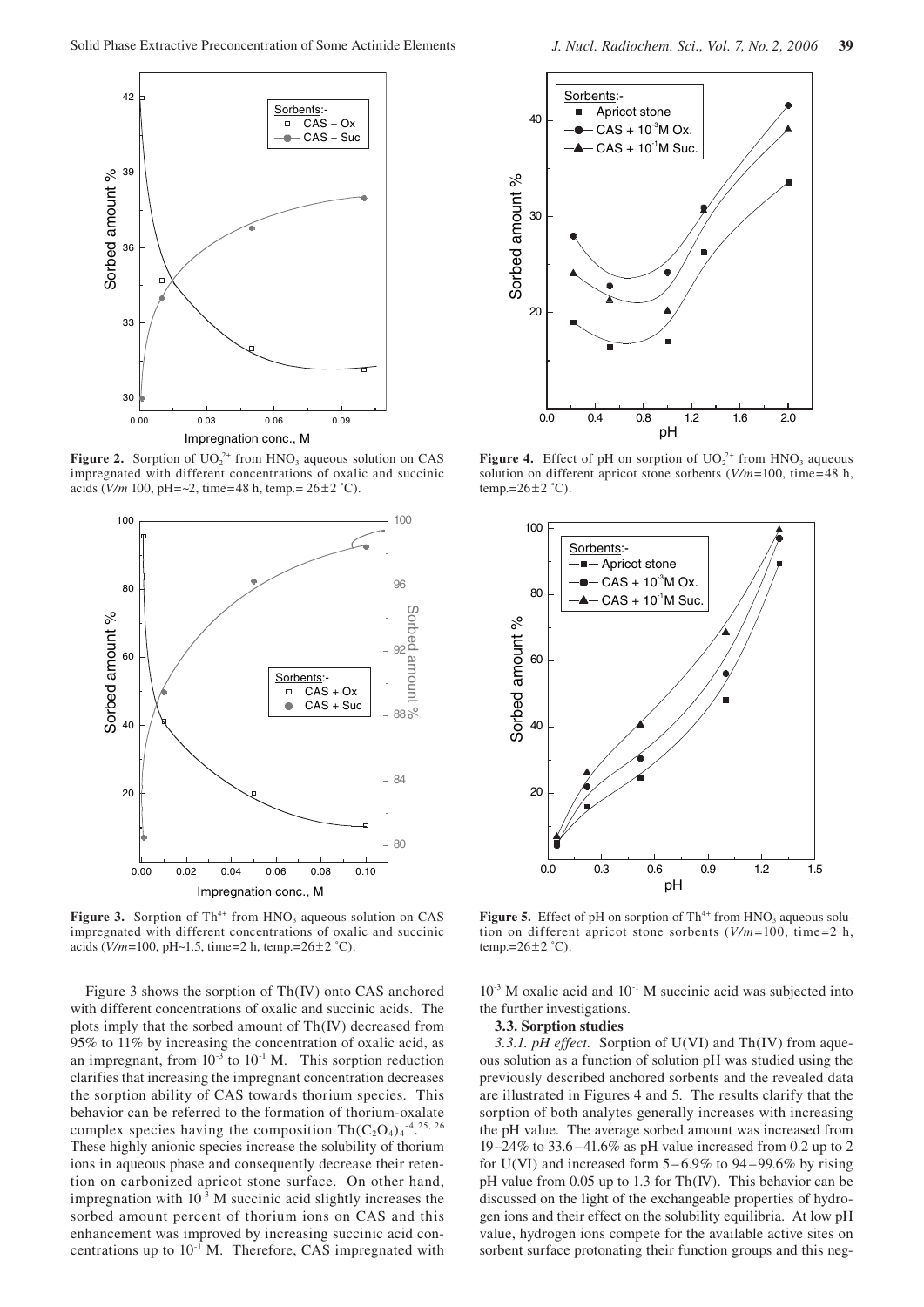

**Figure 2.** Sorption of  $UO_2^{2+}$  from HNO<sub>3</sub> aqueous solution on CAS impregnated with different concentrations of oxalic and succinic acids (*V/m* 100, pH=~2, time=48 h, temp.= 26±2 ˚C).



**Figure 3.** Sorption of Th<sup>4+</sup> from HNO<sub>3</sub> aqueous solution on CAS impregnated with different concentrations of oxalic and succinic acids (*V/m*=100, pH~1.5, time=2 h, temp.=26±2 ˚C).

Figure 3 shows the sorption of Th(IV) onto CAS anchored with different concentrations of oxalic and succinic acids. The plots imply that the sorbed amount of Th(IV) decreased from 95% to 11% by increasing the concentration of oxalic acid, as an impregnant, from  $10^{-3}$  to  $10^{-1}$  M. This sorption reduction clarifies that increasing the impregnant concentration decreases the sorption ability of CAS towards thorium species. This behavior can be referred to the formation of thorium-oxalate complex species having the composition Th(C<sub>2</sub>O<sub>4</sub>)<sub>4</sub><sup>-4</sup>.<sup>25, 26</sup> These highly anionic species increase the solubility of thorium ions in aqueous phase and consequently decrease their retention on carbonized apricot stone surface. On other hand, impregnation with  $10^{-3}$  M succinic acid slightly increases the sorbed amount percent of thorium ions on CAS and this enhancement was improved by increasing succinic acid concentrations up to  $10^{-1}$  M. Therefore, CAS impregnated with



**Figure 4.** Effect of pH on sorption of  $UO_2^{2+}$  from HNO<sub>3</sub> aqueous solution on different apricot stone sorbents (*V/m*=100, time=48 h, temp.= $26 \pm 2$  °C).



**Figure 5.** Effect of pH on sorption of Th<sup>4+</sup> from HNO<sub>3</sub> aqueous solution on different apricot stone sorbents (*V/m*=100, time=2 h, temp.= $26 \pm 2$  °C).

 $10^{-3}$  M oxalic acid and  $10^{-1}$  M succinic acid was subjected into the further investigations.

### **3.3. Sorption studies**

*3.3.1. pH effect.* Sorption of U(VI) and Th(IV) from aqueous solution as a function of solution pH was studied using the previously described anchored sorbents and the revealed data are illustrated in Figures 4 and 5. The results clarify that the sorption of both analytes generally increases with increasing the pH value. The average sorbed amount was increased from 19–24% to 33.6–41.6% as pH value increased from 0.2 up to 2 for U(VI) and increased form  $5-6.9\%$  to  $94-99.6\%$  by rising pH value from 0.05 up to 1.3 for Th(IV). This behavior can be discussed on the light of the exchangeable properties of hydrogen ions and their effect on the solubility equilibria. At low pH value, hydrogen ions compete for the available active sites on sorbent surface protonating their function groups and this neg-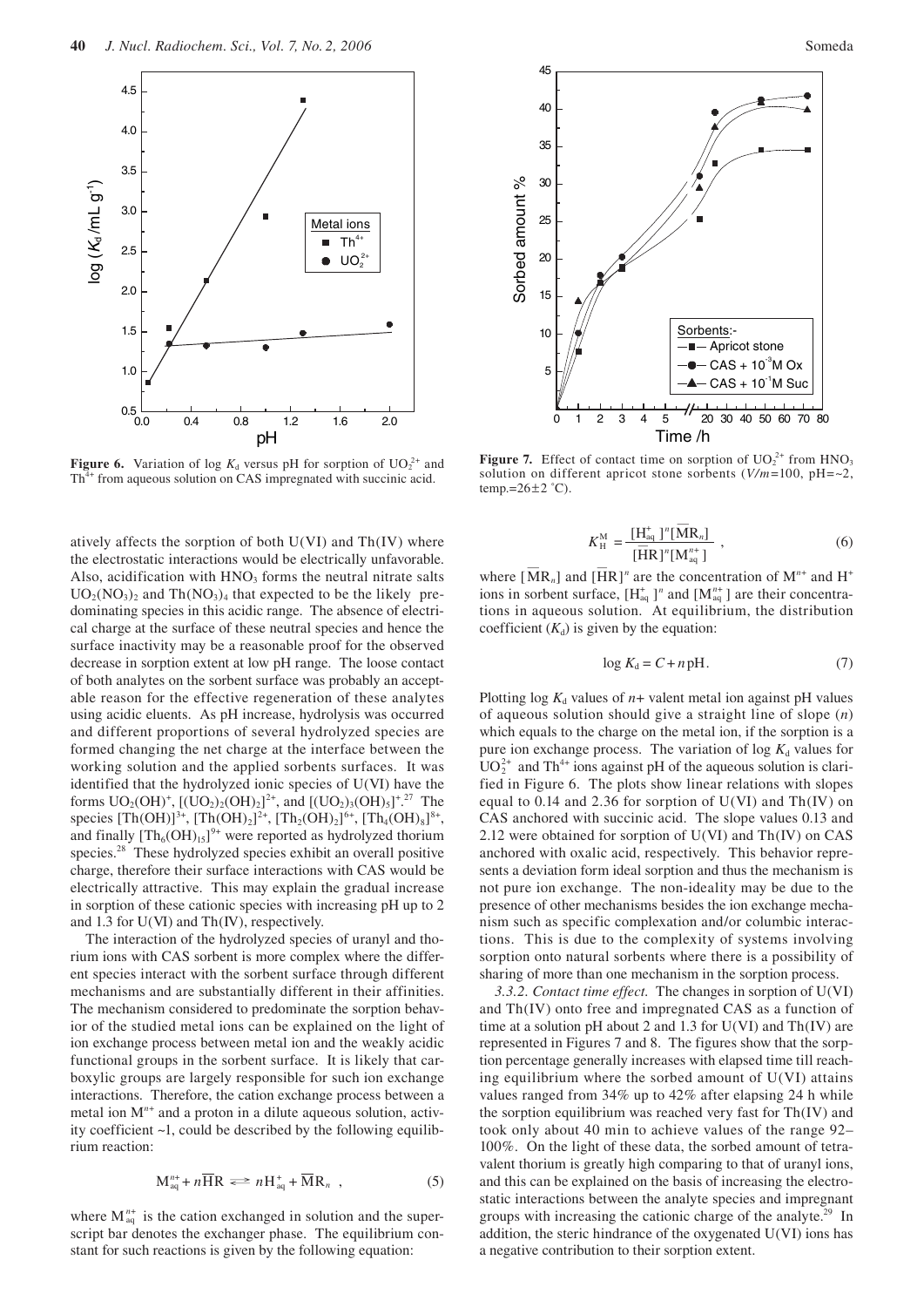

**Figure 6.** Variation of log  $K_d$  versus pH for sorption of  $UO_2^{2+}$  and Th<sup>4+</sup> from aqueous solution on CAS impregnated with succinic acid.

atively affects the sorption of both  $U(VI)$  and  $Th(IV)$  where the electrostatic interactions would be electrically unfavorable. Also, acidification with  $HNO<sub>3</sub>$  forms the neutral nitrate salts  $UO<sub>2</sub>(NO<sub>3</sub>)<sub>2</sub>$  and Th $(NO<sub>3</sub>)<sub>4</sub>$  that expected to be the likely predominating species in this acidic range. The absence of electrical charge at the surface of these neutral species and hence the surface inactivity may be a reasonable proof for the observed decrease in sorption extent at low pH range. The loose contact of both analytes on the sorbent surface was probably an acceptable reason for the effective regeneration of these analytes using acidic eluents. As pH increase, hydrolysis was occurred and different proportions of several hydrolyzed species are formed changing the net charge at the interface between the working solution and the applied sorbents surfaces. It was identified that the hydrolyzed ionic species of U(VI) have the forms  $UO_2(OH)^+$ ,  $[(UO_2)_2(OH)_2]^2$ <sup>+</sup>, and  $[(UO_2)_3(OH)_5]^+$ <sup>27</sup>. The species  $[Th(OH)]^{3+}$ ,  $[Th(OH)_2]^{2+}$ ,  $[Th_2(OH)_2]^{6+}$ ,  $[Th_4(OH)_8]^{8+}$ , and finally  $[Th_6(OH)_{15}]^{9+}$  were reported as hydrolyzed thorium species.<sup>28</sup> These hydrolyzed species exhibit an overall positive charge, therefore their surface interactions with CAS would be electrically attractive. This may explain the gradual increase in sorption of these cationic species with increasing pH up to 2 and 1.3 for U(VI) and Th(IV), respectively.

The interaction of the hydrolyzed species of uranyl and thorium ions with CAS sorbent is more complex where the different species interact with the sorbent surface through different mechanisms and are substantially different in their affinities. The mechanism considered to predominate the sorption behavior of the studied metal ions can be explained on the light of ion exchange process between metal ion and the weakly acidic functional groups in the sorbent surface. It is likely that carboxylic groups are largely responsible for such ion exchange interactions. Therefore, the cation exchange process between a metal ion M<sup>n+</sup> and a proton in a dilute aqueous solution, activity coefficient ~1, could be described by the following equilibrium reaction:

$$
M_{aq}^{n+} + n\overline{H}R \iff nH_{aq}^{+} + \overline{M}R_{n} , \qquad (5)
$$

where  $M_{aq}^{n+}$  is the cation exchanged in solution and the superscript bar denotes the exchanger phase. The equilibrium constant for such reactions is given by the following equation:



**Figure 7.** Effect of contact time on sorption of  $UO_2^{2+}$  from  $HNO_3$ solution on different apricot stone sorbents (*V/m*=100, pH=~2, temp.= $26\pm2$  °C).

$$
K_{\rm H}^{\rm M} = \frac{\left[\rm H_{aq}^{+}\right]^{n} \left[\overline{\rm M} \rm R_{n}\right]}{\left[\overline{\rm H} \rm R\right]^{n} \left[\rm M_{aq}^{n+}\right]} \,, \tag{6}
$$

where  $\left[\overline{M}R_n\right]$  and  $\left[\overline{H}R\right]^n$  are the concentration of  $M^{n+}$  and  $H^+$ ions in sorbent surface,  $[H_{aq}^+]^n$  and  $[M_{aq}^{n+}]$  are their concentrations in aqueous solution. At equilibrium, the distribution coefficient  $(K_d)$  is given by the equation:

$$
\log K_{\rm d} = C + n \,\mathrm{pH}.\tag{7}
$$

Plotting  $log K_d$  values of  $n+$  valent metal ion against pH values of aqueous solution should give a straight line of slope (*n*) which equals to the charge on the metal ion, if the sorption is a pure ion exchange process. The variation of  $\log K_d$  values for  $UO_2^{2+}$  and Th<sup>4+</sup> ions against pH of the aqueous solution is clarified in Figure 6. The plots show linear relations with slopes equal to 0.14 and 2.36 for sorption of  $U(VI)$  and  $Th(IV)$  on CAS anchored with succinic acid. The slope values 0.13 and 2.12 were obtained for sorption of U(VI) and Th(IV) on CAS anchored with oxalic acid, respectively. This behavior represents a deviation form ideal sorption and thus the mechanism is not pure ion exchange. The non-ideality may be due to the presence of other mechanisms besides the ion exchange mechanism such as specific complexation and/or columbic interactions. This is due to the complexity of systems involving sorption onto natural sorbents where there is a possibility of sharing of more than one mechanism in the sorption process.

*3.3.2. Contact time effect.* The changes in sorption of U(VI) and Th(IV) onto free and impregnated CAS as a function of time at a solution pH about 2 and 1.3 for  $U(VI)$  and  $Th(IV)$  are represented in Figures 7 and 8. The figures show that the sorption percentage generally increases with elapsed time till reaching equilibrium where the sorbed amount of  $U(VI)$  attains values ranged from 34% up to 42% after elapsing 24 h while the sorption equilibrium was reached very fast for Th(IV) and took only about 40 min to achieve values of the range 92– 100%. On the light of these data, the sorbed amount of tetravalent thorium is greatly high comparing to that of uranyl ions, and this can be explained on the basis of increasing the electrostatic interactions between the analyte species and impregnant groups with increasing the cationic charge of the analyte.<sup>29</sup> In addition, the steric hindrance of the oxygenated U(VI) ions has a negative contribution to their sorption extent.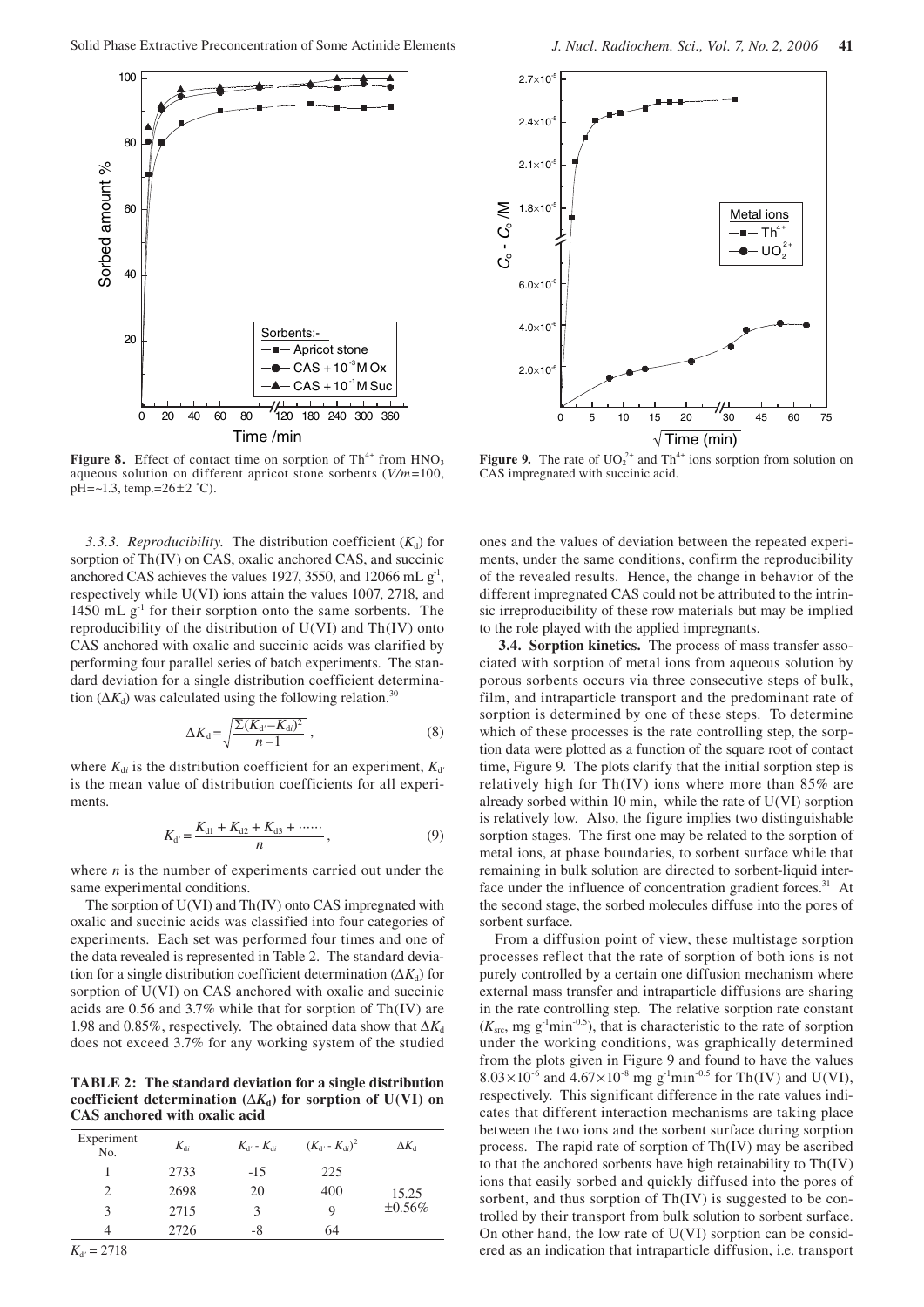

**Figure 8.** Effect of contact time on sorption of  $Th^{4+}$  from  $HNO<sub>3</sub>$ aqueous solution on different apricot stone sorbents (*V/m*=100,  $pH = -1.3$ , temp.=26 $\pm$ 2 °C).

*3.3.3. Reproducibility.* The distribution coefficient  $(K_d)$  for sorption of Th(IV) on CAS, oxalic anchored CAS, and succinic anchored CAS achieves the values 1927, 3550, and 12066 mL  $g<sup>-1</sup>$ , respectively while U(VI) ions attain the values 1007, 2718, and 1450 mL  $g<sup>-1</sup>$  for their sorption onto the same sorbents. The reproducibility of the distribution of U(VI) and Th(IV) onto CAS anchored with oxalic and succinic acids was clarified by performing four parallel series of batch experiments. The standard deviation for a single distribution coefficient determination ( $\Delta K_d$ ) was calculated using the following relation.<sup>30</sup>

$$
\Delta K_{\rm d} = \sqrt{\frac{\Sigma (K_{\rm d'} - K_{\rm d})^2}{n - 1}} \,,\tag{8}
$$

where  $K_{di}$  is the distribution coefficient for an experiment,  $K_{d'}$ is the mean value of distribution coefficients for all experiments.

$$
K_{d'} = \frac{K_{d1} + K_{d2} + K_{d3} + \cdots}{n},
$$
\n(9)

where *n* is the number of experiments carried out under the same experimental conditions.

The sorption of U(VI) and Th(IV) onto CAS impregnated with oxalic and succinic acids was classified into four categories of experiments. Each set was performed four times and one of the data revealed is represented in Table 2. The standard deviation for a single distribution coefficient determination  $(\Delta K_d)$  for sorption of U(VI) on CAS anchored with oxalic and succinic acids are 0.56 and 3.7% while that for sorption of Th(IV) are 1.98 and 0.85%, respectively. The obtained data show that  $\Delta K_d$ does not exceed 3.7% for any working system of the studied

**TABLE 2: The standard deviation for a single distribution**  coefficient determination ( $\Delta K_d$ ) for sorption of U(VI) on **CAS anchored with oxalic acid**

| Experiment<br>No. | $K_{di}$ | $K_{d'}$ - $K_{di}$ | $(K_{d'} - K_{di})^2$ | $\Delta K_{\rm d}$ |
|-------------------|----------|---------------------|-----------------------|--------------------|
|                   | 2733     | $-15$               | 225                   |                    |
|                   | 2698     | 20                  | 400                   | 15.25              |
| 3                 | 2715     | κ                   | 9                     | $\pm 0.56\%$       |
|                   | 2726     | -8                  | 64                    |                    |



**Figure 9.** The rate of  $UO_2^{2+}$  and Th<sup>4+</sup> ions sorption from solution on CAS impregnated with succinic acid.

ones and the values of deviation between the repeated experiments, under the same conditions, confirm the reproducibility of the revealed results. Hence, the change in behavior of the different impregnated CAS could not be attributed to the intrinsic irreproducibility of these row materials but may be implied to the role played with the applied impregnants.

**3.4. Sorption kinetics.** The process of mass transfer associated with sorption of metal ions from aqueous solution by porous sorbents occurs via three consecutive steps of bulk, film, and intraparticle transport and the predominant rate of sorption is determined by one of these steps. To determine which of these processes is the rate controlling step, the sorption data were plotted as a function of the square root of contact time, Figure 9. The plots clarify that the initial sorption step is relatively high for  $Th(IV)$  ions where more than 85% are already sorbed within 10 min, while the rate of U(VI) sorption is relatively low. Also, the figure implies two distinguishable sorption stages. The first one may be related to the sorption of metal ions, at phase boundaries, to sorbent surface while that remaining in bulk solution are directed to sorbent-liquid interface under the influence of concentration gradient forces. $31$  At the second stage, the sorbed molecules diffuse into the pores of sorbent surface.

From a diffusion point of view, these multistage sorption processes reflect that the rate of sorption of both ions is not purely controlled by a certain one diffusion mechanism where external mass transfer and intraparticle diffusions are sharing in the rate controlling step. The relative sorption rate constant  $(K_{\rm src}, \text{mg g}^{-1}\text{min}^{-0.5})$ , that is characteristic to the rate of sorption under the working conditions, was graphically determined from the plots given in Figure 9 and found to have the values  $8.03 \times 10^{-6}$  and  $4.67 \times 10^{-8}$  mg g<sup>-1</sup>min<sup>-0.5</sup> for Th(IV) and U(VI), respectively. This significant difference in the rate values indicates that different interaction mechanisms are taking place between the two ions and the sorbent surface during sorption process. The rapid rate of sorption of Th(IV) may be ascribed to that the anchored sorbents have high retainability to Th(IV) ions that easily sorbed and quickly diffused into the pores of sorbent, and thus sorption of Th(IV) is suggested to be controlled by their transport from bulk solution to sorbent surface. On other hand, the low rate of  $U(VI)$  sorption can be considered as an indication that intraparticle diffusion, i.e. transport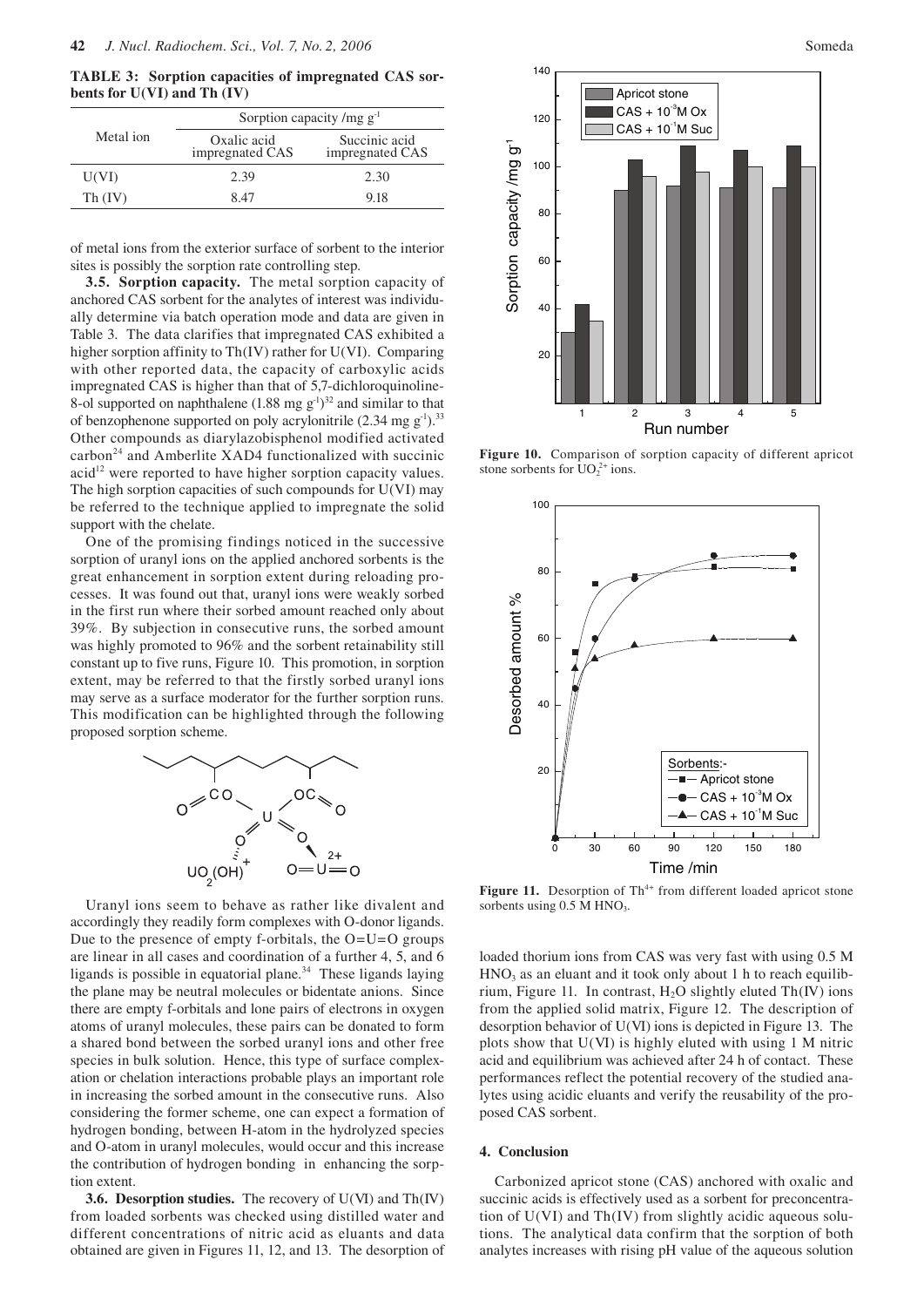**TABLE 3: Sorption capacities of impregnated CAS sorbents for U(VI) and Th (IV)**

|           | Sorption capacity /mg $g^{-1}$ |                                  |  |
|-----------|--------------------------------|----------------------------------|--|
| Metal ion | Oxalic acid<br>impregnated CAS | Succinic acid<br>impregnated CAS |  |
| U(VI)     | 2.39                           | 2.30                             |  |
| Th (IV)   | 8 47                           | 9.18                             |  |

of metal ions from the exterior surface of sorbent to the interior sites is possibly the sorption rate controlling step.

**3.5. Sorption capacity.** The metal sorption capacity of anchored CAS sorbent for the analytes of interest was individually determine via batch operation mode and data are given in Table 3. The data clarifies that impregnated CAS exhibited a higher sorption affinity to Th(IV) rather for U(VI). Comparing with other reported data, the capacity of carboxylic acids impregnated CAS is higher than that of 5,7-dichloroquinoline-8-ol supported on naphthalene  $(1.88 \text{ mg g}^{-1})^{32}$  and similar to that of benzophenone supported on poly acrylonitrile  $(2.34 \text{ mg g}^{-1})^{33}$ Other compounds as diarylazobisphenol modified activated carbon<sup>24</sup> and Amberlite XAD4 functionalized with succinic  $acid<sup>12</sup>$  were reported to have higher sorption capacity values. The high sorption capacities of such compounds for U(VI) may be referred to the technique applied to impregnate the solid support with the chelate.

One of the promising findings noticed in the successive sorption of uranyl ions on the applied anchored sorbents is the great enhancement in sorption extent during reloading processes. It was found out that, uranyl ions were weakly sorbed in the first run where their sorbed amount reached only about 39%. By subjection in consecutive runs, the sorbed amount was highly promoted to 96% and the sorbent retainability still constant up to five runs, Figure 10. This promotion, in sorption extent, may be referred to that the firstly sorbed uranyl ions may serve as a surface moderator for the further sorption runs. This modification can be highlighted through the following proposed sorption scheme.



Uranyl ions seem to behave as rather like divalent and accordingly they readily form complexes with O-donor ligands. Due to the presence of empty f-orbitals, the O=U=O groups are linear in all cases and coordination of a further 4, 5, and 6 ligands is possible in equatorial plane. $34$  These ligands laying the plane may be neutral molecules or bidentate anions. Since there are empty f-orbitals and lone pairs of electrons in oxygen atoms of uranyl molecules, these pairs can be donated to form a shared bond between the sorbed uranyl ions and other free species in bulk solution. Hence, this type of surface complexation or chelation interactions probable plays an important role in increasing the sorbed amount in the consecutive runs. Also considering the former scheme, one can expect a formation of hydrogen bonding, between H-atom in the hydrolyzed species and O-atom in uranyl molecules, would occur and this increase the contribution of hydrogen bonding in enhancing the sorption extent.

**3.6. Desorption studies.** The recovery of U(VI) and Th(IV) from loaded sorbents was checked using distilled water and different concentrations of nitric acid as eluants and data obtained are given in Figures 11, 12, and 13. The desorption of



**Figure 10.** Comparison of sorption capacity of different apricot stone sorbents for  $UO_2^{2+}$  ions.



Figure 11. Desorption of Th<sup>4+</sup> from different loaded apricot stone sorbents using  $0.5$  M HNO<sub>3</sub>.

loaded thorium ions from CAS was very fast with using 0.5 M  $HNO<sub>3</sub>$  as an eluant and it took only about 1 h to reach equilibrium, Figure 11. In contrast,  $H_2O$  slightly eluted Th(IV) ions from the applied solid matrix, Figure 12. The description of desorption behavior of U(VI) ions is depicted in Figure 13. The plots show that U(VI) is highly eluted with using 1 M nitric acid and equilibrium was achieved after 24 h of contact. These performances reflect the potential recovery of the studied analytes using acidic eluants and verify the reusability of the proposed CAS sorbent.

## **4. Conclusion**

Carbonized apricot stone (CAS) anchored with oxalic and succinic acids is effectively used as a sorbent for preconcentration of U(VI) and Th(IV) from slightly acidic aqueous solutions. The analytical data confirm that the sorption of both analytes increases with rising pH value of the aqueous solution